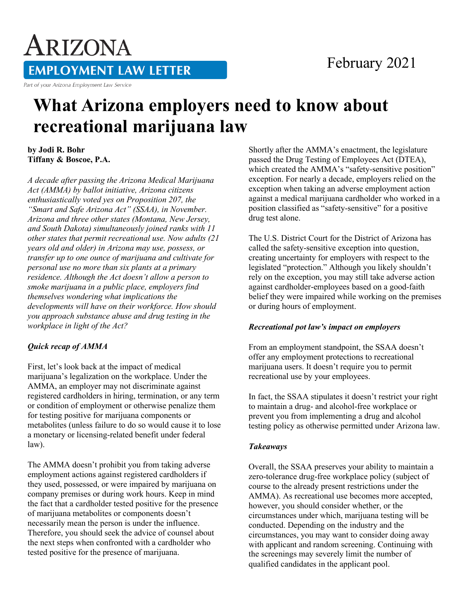# ARIZONA **EMPLOYMENT LAW LETTER**

Part of your Arizona Employment Law Service

### February 2021

## **What Arizona employers need to know about recreational marijuana law**

**by Jodi R. Bohr Tiffany & Boscoe, P.A.**

*A decade after passing the Arizona Medical Marijuana Act (AMMA) by ballot initiative, Arizona citizens enthusiastically voted yes on Proposition 207, the "Smart and Safe Arizona Act" (SSAA), in November. Arizona and three other states (Montana, New Jersey, and South Dakota) simultaneously joined ranks with 11 other states that permit recreational use. Now adults (21 years old and older) in Arizona may use, possess, or transfer up to one ounce of marijuana and cultivate for personal use no more than six plants at a primary residence. Although the Act doesn't allow a person to smoke marijuana in a public place, employers find themselves wondering what implications the developments will have on their workforce. How should you approach substance abuse and drug testing in the workplace in light of the Act?*

#### *Quick recap of AMMA*

First, let's look back at the impact of medical marijuana's legalization on the workplace. Under the AMMA, an employer may not discriminate against registered cardholders in hiring, termination, or any term or condition of employment or otherwise penalize them for testing positive for marijuana components or metabolites (unless failure to do so would cause it to lose a monetary or licensing-related benefit under federal law).

The AMMA doesn't prohibit you from taking adverse employment actions against registered cardholders if they used, possessed, or were impaired by marijuana on company premises or during work hours. Keep in mind the fact that a cardholder tested positive for the presence of marijuana metabolites or components doesn't necessarily mean the person is under the influence. Therefore, you should seek the advice of counsel about the next steps when confronted with a cardholder who tested positive for the presence of marijuana.

Shortly after the AMMA's enactment, the legislature passed the Drug Testing of Employees Act (DTEA), which created the AMMA's "safety-sensitive position" exception. For nearly a decade, employers relied on the exception when taking an adverse employment action against a medical marijuana cardholder who worked in a position classified as "safety-sensitive" for a positive drug test alone.

The U.S. District Court for the District of Arizona has called the safety-sensitive exception into question, creating uncertainty for employers with respect to the legislated "protection." Although you likely shouldn't rely on the exception, you may still take adverse action against cardholder-employees based on a good-faith belief they were impaired while working on the premises or during hours of employment.

#### *Recreational pot law's impact on employers*

From an employment standpoint, the SSAA doesn't offer any employment protections to recreational marijuana users. It doesn't require you to permit recreational use by your employees.

In fact, the SSAA stipulates it doesn't restrict your right to maintain a drug- and alcohol-free workplace or prevent you from implementing a drug and alcohol testing policy as otherwise permitted under Arizona law.

#### *Takeaways*

Overall, the SSAA preserves your ability to maintain a zero-tolerance drug-free workplace policy (subject of course to the already present restrictions under the AMMA). As recreational use becomes more accepted, however, you should consider whether, or the circumstances under which, marijuana testing will be conducted. Depending on the industry and the circumstances, you may want to consider doing away with applicant and random screening. Continuing with the screenings may severely limit the number of qualified candidates in the applicant pool.